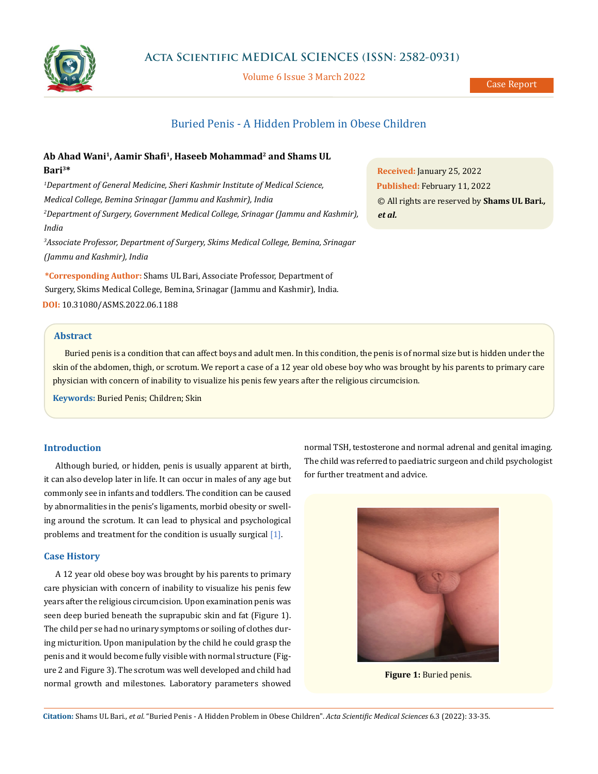

Volume 6 Issue 3 March 2022

# Buried Penis - A Hidden Problem in Obese Children

# **Ab Ahad Wani<sup>1</sup> , Aamir Shafi<sup>1</sup> , Haseeb Mohammad<sup>2</sup> and Shams UL Bari<sup>3</sup>\***

*<sup>1</sup>Department of General Medicine, Sheri Kashmir Institute of Medical Science, Medical College, Bemina Srinagar (Jammu and Kashmir), India <sup>2</sup>Department of Surgery, Government Medical College, Srinagar (Jammu and Kashmir), India*

*<sup>3</sup>Associate Professor, Department of Surgery, Skims Medical College, Bemina, Srinagar (Jammu and Kashmir), India*

**\*Corresponding Author:** Shams UL Bari, Associate Professor, Department of Surgery, Skims Medical College, Bemina, Srinagar (Jammu and Kashmir), India. **DOI:** [10.31080/ASMS.2022.06.1188](https://actascientific.com/ASMS/pdf/ASMS-06-1188.pdf)

**Received:** January 25, 2022 **Published:** February 11, 2022 © All rights are reserved by **Shams UL Bari***., et al.* 

# **Abstract**

Buried penis is a condition that can affect boys and adult men. In this condition, the penis is of normal size but is hidden under the skin of the abdomen, thigh, or scrotum. We report a case of a 12 year old obese boy who was brought by his parents to primary care physician with concern of inability to visualize his penis few years after the religious circumcision.

**Keywords:** Buried Penis; Children; Skin

#### **Introduction**

Although buried, or hidden, penis is usually apparent at birth, it can also develop later in life. It can occur in males of any age but commonly see in infants and toddlers. The condition can be caused by abnormalities in the penis's ligaments, morbid obesity or swelling around the scrotum. It can lead to physical and psychological problems and treatment for the condition is usually surgical [1].

#### **Case History**

A 12 year old obese boy was brought by his parents to primary care physician with concern of inability to visualize his penis few years after the religious circumcision. Upon examination penis was seen deep buried beneath the suprapubic skin and fat (Figure 1). The child per se had no urinary symptoms or soiling of clothes during micturition. Upon manipulation by the child he could grasp the penis and it would become fully visible with normal structure (Figure 2 and Figure 3). The scrotum was well developed and child had normal growth and milestones. Laboratory parameters showed normal TSH, testosterone and normal adrenal and genital imaging. The child was referred to paediatric surgeon and child psychologist for further treatment and advice.



**Figure 1: Buried penis.** 

**Citation:** Shams UL Bari*., et al.* "Buried Penis - A Hidden Problem in Obese Children". *Acta Scientific Medical Sciences* 6.3 (2022): 33-35.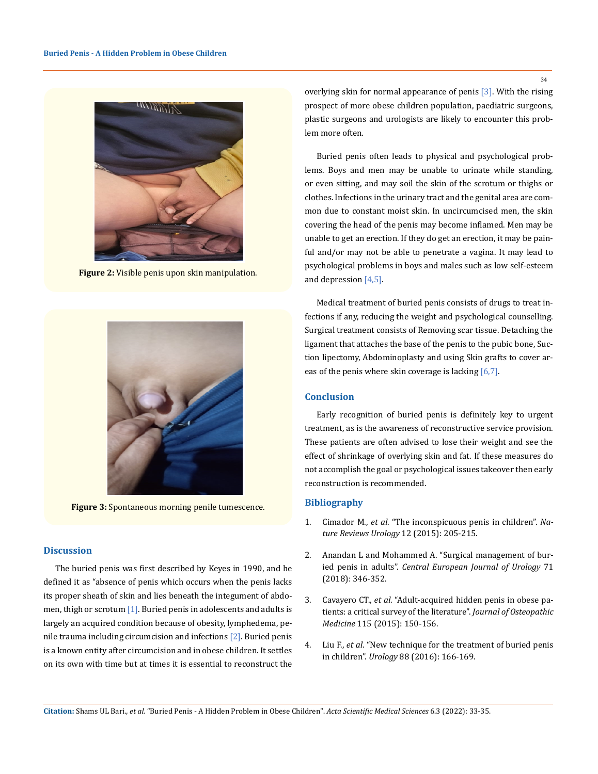

**Figure 2:** Visible penis upon skin manipulation.



**Figure 3:** Spontaneous morning penile tumescence.

### **Discussion**

The buried penis was first described by Keyes in 1990, and he defined it as "absence of penis which occurs when the penis lacks its proper sheath of skin and lies beneath the integument of abdomen, thigh or scrotum [1]. Buried penis in adolescents and adults is largely an acquired condition because of obesity, lymphedema, penile trauma including circumcision and infections [2]. Buried penis is a known entity after circumcision and in obese children. It settles on its own with time but at times it is essential to reconstruct the overlying skin for normal appearance of penis [3]. With the rising prospect of more obese children population, paediatric surgeons, plastic surgeons and urologists are likely to encounter this problem more often.

Buried penis often leads to physical and psychological problems. Boys and men may be unable to urinate while standing, or even sitting, and may soil the skin of the scrotum or thighs or clothes. Infections in the urinary tract and the genital area are common due to constant moist skin. In uncircumcised men, the skin covering the head of the penis may become inflamed. Men may be unable to get an erection. If they do get an erection, it may be painful and/or may not be able to penetrate a vagina. It may lead to psychological problems in boys and males such as low self-esteem and depression [4,5].

Medical treatment of buried penis consists of drugs to treat infections if any, reducing the weight and psychological counselling. Surgical treatment consists of Removing scar tissue. Detaching the ligament that attaches the base of the penis to the pubic bone, Suction lipectomy, Abdominoplasty and using Skin grafts to cover areas of the penis where skin coverage is lacking [6,7].

#### **Conclusion**

Early recognition of buried penis is definitely key to urgent treatment, as is the awareness of reconstructive service provision. These patients are often advised to lose their weight and see the effect of shrinkage of overlying skin and fat. If these measures do not accomplish the goal or psychological issues takeover then early reconstruction is recommended.

## **Bibliography**

- 1. Cimador M., *et al*[. "The inconspicuous penis in children".](https://www.nature.com/articles/nrurol.2015.49) *Na[ture Reviews Urology](https://www.nature.com/articles/nrurol.2015.49)* 12 (2015): 205-215.
- 2. [Anandan L and Mohammed A. "Surgical management of bur](https://pubmed.ncbi.nlm.nih.gov/30386659/)ied penis in adults". *[Central European Journal of Urology](https://pubmed.ncbi.nlm.nih.gov/30386659/)* 71 [\(2018\): 346-352.](https://pubmed.ncbi.nlm.nih.gov/30386659/)
- 3. Cavayero CT., *et al*[. "Adult-acquired hidden penis in obese pa](https://pubmed.ncbi.nlm.nih.gov/25722361/)[tients: a critical survey of the literature".](https://pubmed.ncbi.nlm.nih.gov/25722361/) *Journal of Osteopathic Medicine* [115 \(2015\): 150-156.](https://pubmed.ncbi.nlm.nih.gov/25722361/)
- 4. Liu F., *et al*. "New technique for the treatment of buried penis in children". *Urology* 88 (2016): 166-169.

34